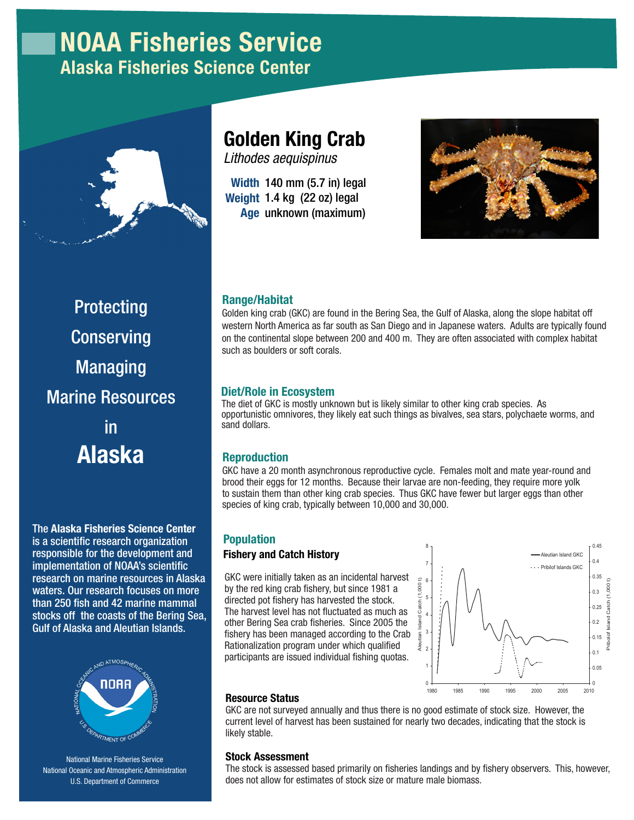# **NOAA Fisheries Service**

Alaska Fisheries Science Center



# Golden King Crab

*Lithodes aequispinus*

Width 140 mm (5.7 in) legal Weight 1.4 kg (22 oz) legal Age unknown (maximum)



Protecting **Conserving Managing** Marine Resources in Alaska

The Alaska Fisheries Science Center is a scientific research organization responsible for the development and implementation of NOAA's scientific research on marine resources in Alaska waters. Our research focuses on more than 250 fish and 42 marine mammal stocks off the coasts of the Bering Sea, Gulf of Alaska and Aleutian Islands.



National Marine Fisheries Service National Oceanic and Atmospheric Administration U.S. Department of Commerce

# Range/Habitat

Golden king crab (GKC) are found in the Bering Sea, the Gulf of Alaska, along the slope habitat off western North America as far south as San Diego and in Japanese waters. Adults are typically found on the continental slope between 200 and 400 m. They are often associated with complex habitat such as boulders or soft corals.

## Diet/Role in Ecosystem

The diet of GKC is mostly unknown but is likely similar to other king crab species. As opportunistic omnivores, they likely eat such things as bivalves, sea stars, polychaete worms, and sand dollars.

# **Reproduction**

GKC have a 20 month asynchronous reproductive cycle. Females molt and mate year-round and brood their eggs for 12 months. Because their larvae are non-feeding, they require more yolk to sustain them than other king crab species. Thus GKC have fewer but larger eggs than other species of king crab, typically between 10,000 and 30,000.

## **Population**

## Fishery and Catch History

GKC were initially taken as an incidental harvest by the red king crab fishery, but since 1981 a directed pot fishery has harvested the stock. The harvest level has not fluctuated as much as other Bering Sea crab fisheries. Since 2005 the fishery has been managed according to the Crab Rationalization program under which qualified participants are issued individual fishing quotas.



## Resource Status

GKC are not surveyed annually and thus there is no good estimate of stock size. However, the current level of harvest has been sustained for nearly two decades, indicating that the stock is likely stable.

#### Stock Assessment

The stock is assessed based primarily on fisheries landings and by fishery observers. This, however, does not allow for estimates of stock size or mature male biomass.